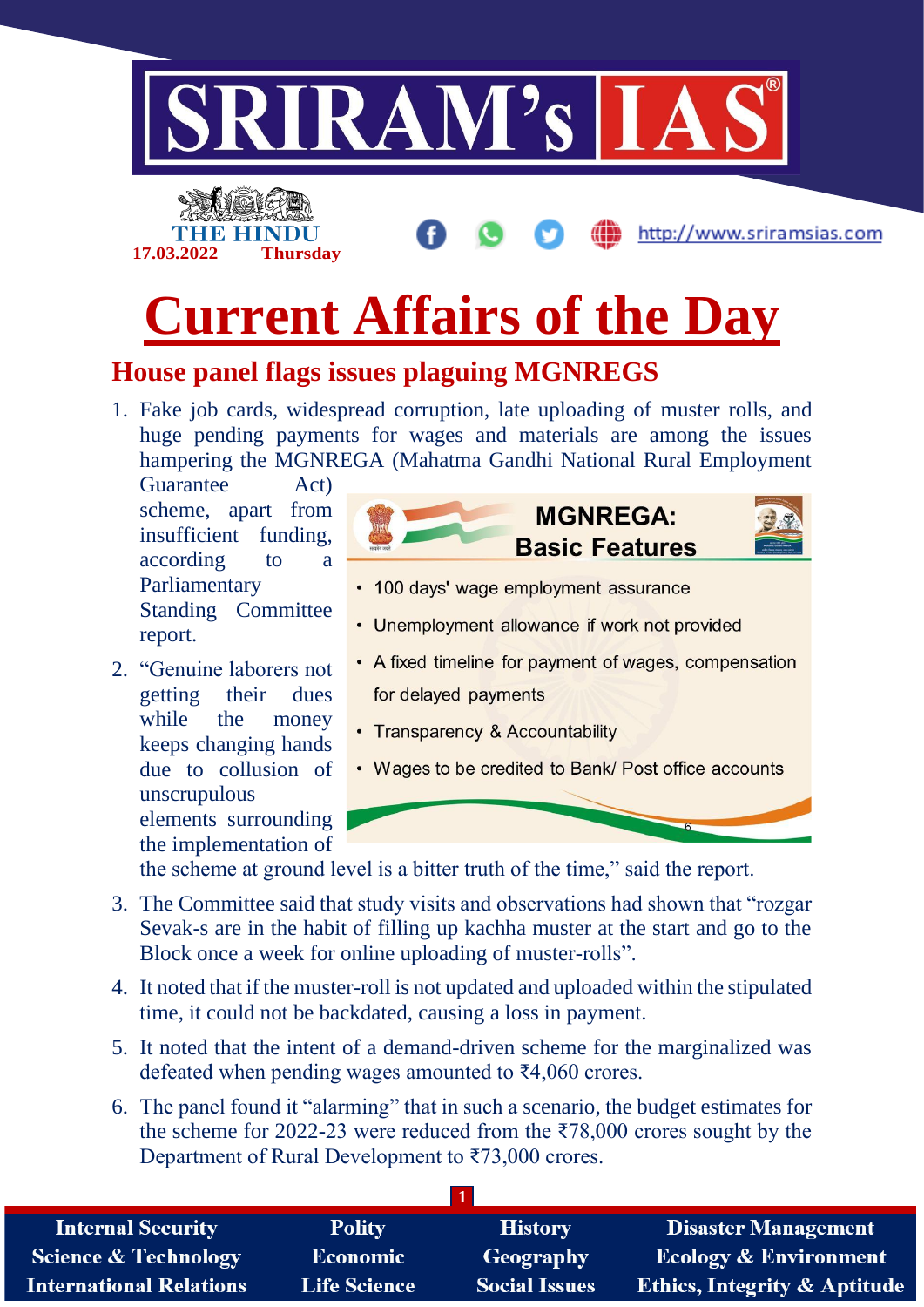

elements surrounding the implementation of

the scheme at ground level is a bitter truth of the time," said the report.

- 3. The Committee said that study visits and observations had shown that "rozgar Sevak-s are in the habit of filling up kachha muster at the start and go to the Block once a week for online uploading of muster-rolls".
- 4. It noted that if the muster-roll is not updated and uploaded within the stipulated time, it could not be backdated, causing a loss in payment.
- 5. It noted that the intent of a demand-driven scheme for the marginalized was defeated when pending wages amounted to ₹4,060 crores.
- 6. The panel found it "alarming" that in such a scenario, the budget estimates for the scheme for 2022-23 were reduced from the  $\overline{578,000}$  crores sought by the Department of Rural Development to ₹73,000 crores.

| <b>Internal Security</b>        | <b>Polity</b>   | <b>History</b>       | <b>Disaster Management</b>              |
|---------------------------------|-----------------|----------------------|-----------------------------------------|
| <b>Science &amp; Technology</b> | <b>Economic</b> | Geography            | Ecology & Environment                   |
| <b>International Relations</b>  | Life Science    | <b>Social Issues</b> | <b>Ethics, Integrity &amp; Aptitude</b> |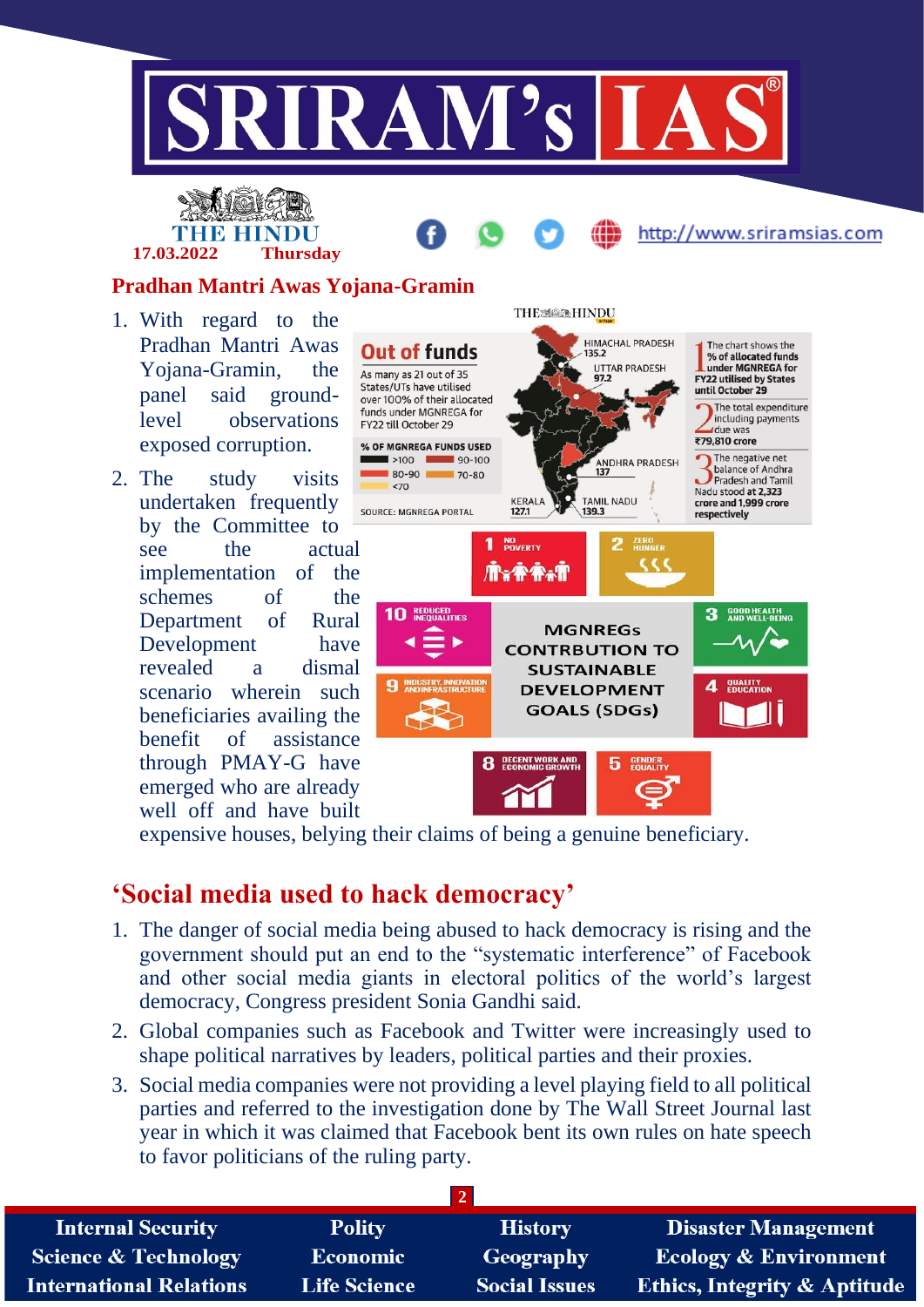

# INHE HIN **17.03.2022 Thursday**

http://www.sriramsias.com

### **Pradhan Mantri Awas Yojana-Gramin**

- 1. With regard to the Pradhan Mantri Awas Yojana-Gramin, the panel said groundlevel observations exposed corruption.
- 2. The study visits undertaken frequently by the Committee to see the actual implementation of the schemes of the Department of Rural Development have revealed a dismal scenario wherein such beneficiaries availing the benefit of assistance through PMAY-G have emerged who are already well off and have built



expensive houses, belying their claims of being a genuine beneficiary.

## **'Social media used to hack democracy'**

- 1. The danger of social media being abused to hack democracy is rising and the government should put an end to the "systematic interference" of Facebook and other social media giants in electoral politics of the world's largest democracy, Congress president Sonia Gandhi said.
- 2. Global companies such as Facebook and Twitter were increasingly used to shape political narratives by leaders, political parties and their proxies.
- 3. Social media companies were not providing a level playing field to all political parties and referred to the investigation done by The Wall Street Journal last year in which it was claimed that Facebook bent its own rules on hate speech to favor politicians of the ruling party.

| <b>Internal Security</b>        | <b>Polity</b>       | <b>History</b>       | <b>Disaster Management</b>              |
|---------------------------------|---------------------|----------------------|-----------------------------------------|
| <b>Science &amp; Technology</b> | <b>Economic</b>     | Geography            | <b>Ecology &amp; Environment</b>        |
| <b>International Relations</b>  | <b>Life Science</b> | <b>Social Issues</b> | <b>Ethics, Integrity &amp; Aptitude</b> |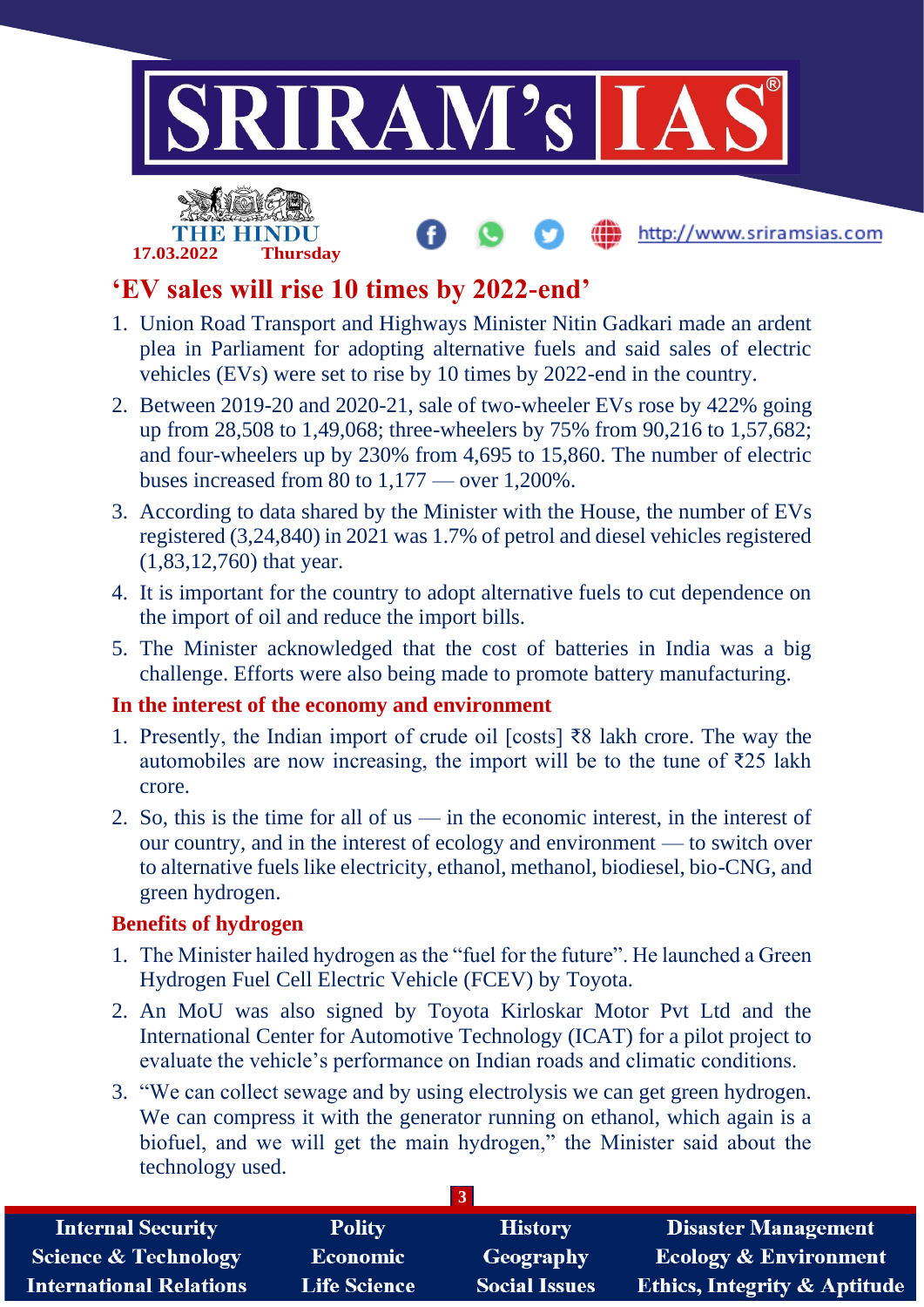

http://www.sriramsias.com



# **'EV sales will rise 10 times by 2022-end'**

- 1. Union Road Transport and Highways Minister Nitin Gadkari made an ardent plea in Parliament for adopting alternative fuels and said sales of electric vehicles (EVs) were set to rise by 10 times by 2022-end in the country.
- 2. Between 2019-20 and 2020-21, sale of two-wheeler EVs rose by 422% going up from 28,508 to 1,49,068; three-wheelers by 75% from 90,216 to 1,57,682; and four-wheelers up by 230% from 4,695 to 15,860. The number of electric buses increased from 80 to 1,177 — over 1,200%.
- 3. According to data shared by the Minister with the House, the number of EVs registered (3,24,840) in 2021 was 1.7% of petrol and diesel vehicles registered (1,83,12,760) that year.
- 4. It is important for the country to adopt alternative fuels to cut dependence on the import of oil and reduce the import bills.
- 5. The Minister acknowledged that the cost of batteries in India was a big challenge. Efforts were also being made to promote battery manufacturing.

### **In the interest of the economy and environment**

- 1. Presently, the Indian import of crude oil [costs] ₹8 lakh crore. The way the automobiles are now increasing, the import will be to the tune of  $\bar{\tau}$ 25 lakh crore.
- 2. So, this is the time for all of us in the economic interest, in the interest of our country, and in the interest of ecology and environment — to switch over to alternative fuels like electricity, ethanol, methanol, biodiesel, bio-CNG, and green hydrogen.

### **Benefits of hydrogen**

- 1. The Minister hailed hydrogen as the "fuel for the future". He launched a Green Hydrogen Fuel Cell Electric Vehicle (FCEV) by Toyota.
- 2. An MoU was also signed by Toyota Kirloskar Motor Pvt Ltd and the International Center for Automotive Technology (ICAT) for a pilot project to evaluate the vehicle's performance on Indian roads and climatic conditions.
- 3. "We can collect sewage and by using electrolysis we can get green hydrogen. We can compress it with the generator running on ethanol, which again is a biofuel, and we will get the main hydrogen," the Minister said about the technology used.

| <b>Internal Security</b>        | <b>Polity</b>       | <b>History</b>       | Disaster Management                     |
|---------------------------------|---------------------|----------------------|-----------------------------------------|
| <b>Science &amp; Technology</b> | Economic            | Geography            | <b>Ecology &amp; Environment</b>        |
| <b>International Relations</b>  | <b>Life Science</b> | <b>Social Issues</b> | <b>Ethics, Integrity &amp; Aptitude</b> |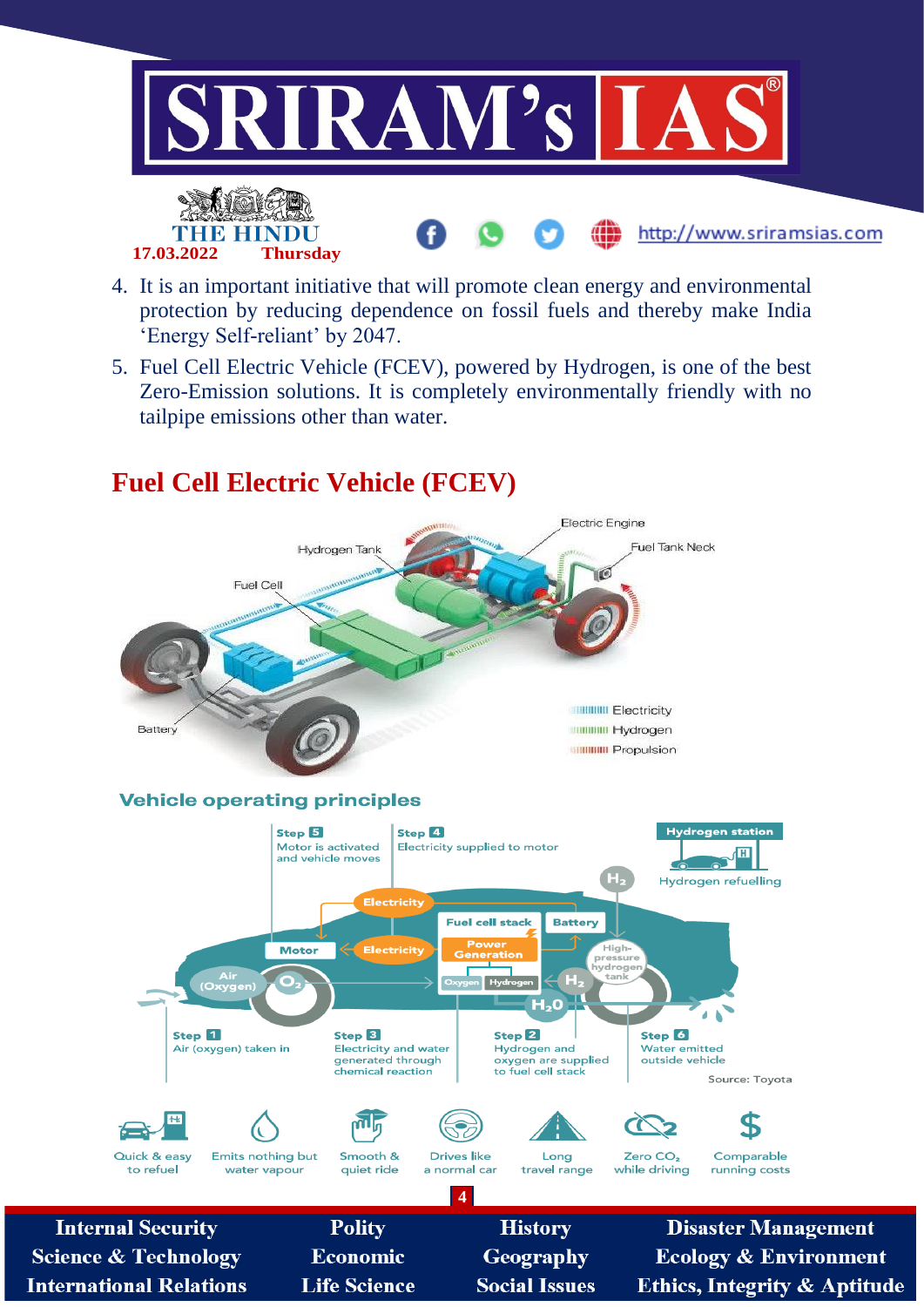

- 4. It is an important initiative that will promote clean energy and environmental protection by reducing dependence on fossil fuels and thereby make India 'Energy Self-reliant' by 2047.
- 5. Fuel Cell Electric Vehicle (FCEV), powered by Hydrogen, is one of the best Zero-Emission solutions. It is completely environmentally friendly with no tailpipe emissions other than water.



## **Fuel Cell Electric Vehicle (FCEV)**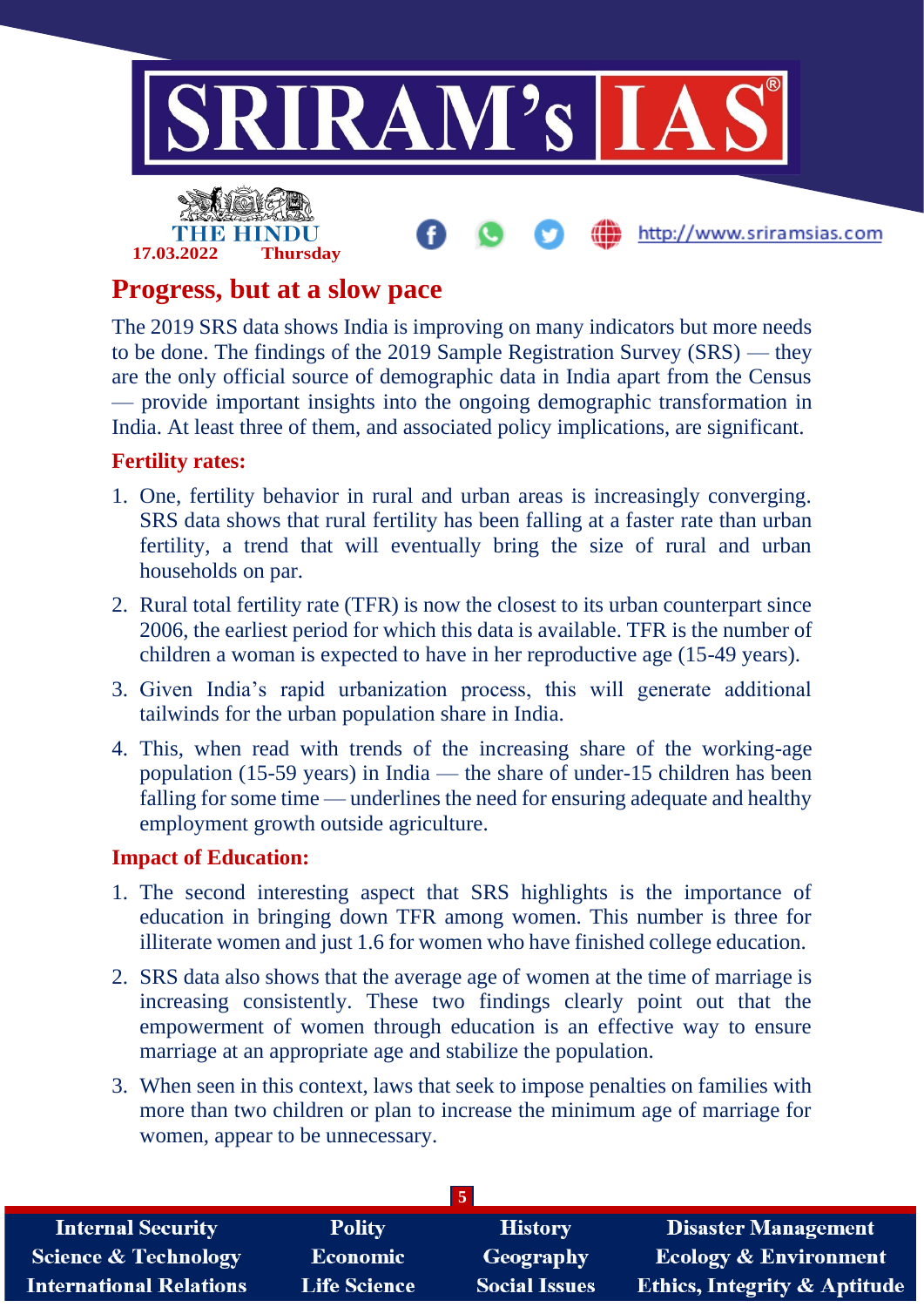

## **Progress, but at a slow pace**

The 2019 SRS data shows India is improving on many indicators but more needs to be done. The findings of the 2019 Sample Registration Survey (SRS) — they are the only official source of demographic data in India apart from the Census — provide important insights into the ongoing demographic transformation in India. At least three of them, and associated policy implications, are significant.

### **Fertility rates:**

- 1. One, fertility behavior in rural and urban areas is increasingly converging. SRS data shows that rural fertility has been falling at a faster rate than urban fertility, a trend that will eventually bring the size of rural and urban households on par.
- 2. Rural total fertility rate (TFR) is now the closest to its urban counterpart since 2006, the earliest period for which this data is available. TFR is the number of children a woman is expected to have in her reproductive age (15-49 years).
- 3. Given India's rapid urbanization process, this will generate additional tailwinds for the urban population share in India.
- 4. This, when read with trends of the increasing share of the working-age population (15-59 years) in India — the share of under-15 children has been falling for some time — underlines the need for ensuring adequate and healthy employment growth outside agriculture.

### **Impact of Education:**

- 1. The second interesting aspect that SRS highlights is the importance of education in bringing down TFR among women. This number is three for illiterate women and just 1.6 for women who have finished college education.
- 2. SRS data also shows that the average age of women at the time of marriage is increasing consistently. These two findings clearly point out that the empowerment of women through education is an effective way to ensure marriage at an appropriate age and stabilize the population.
- 3. When seen in this context, laws that seek to impose penalties on families with more than two children or plan to increase the minimum age of marriage for women, appear to be unnecessary.

| <b>Internal Security</b>        | <b>Polity</b>       | <b>History</b>       | Disaster Management                     |
|---------------------------------|---------------------|----------------------|-----------------------------------------|
| <b>Science &amp; Technology</b> | <b>Economic</b>     | Geography            | <b>Ecology &amp; Environment</b>        |
| <b>International Relations</b>  | <b>Life Science</b> | <b>Social Issues</b> | <b>Ethics, Integrity &amp; Aptitude</b> |